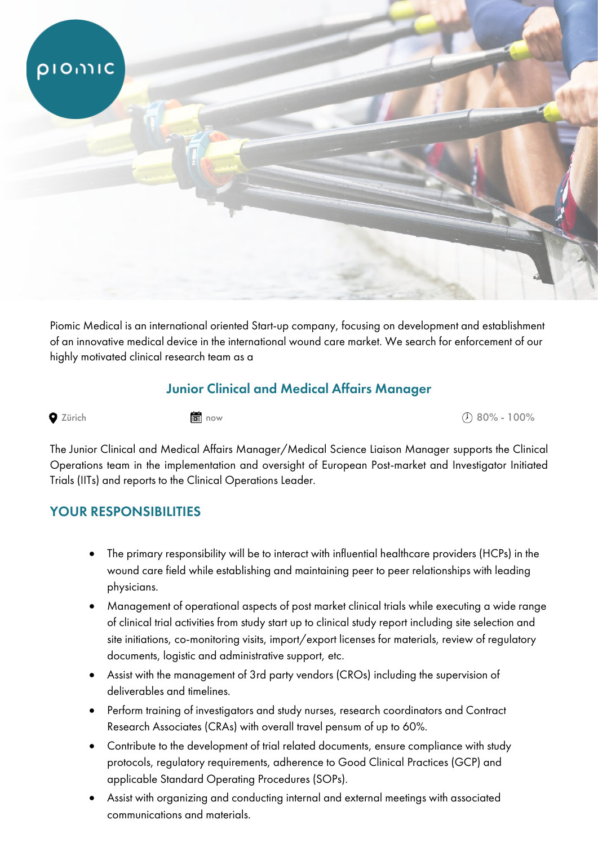

Piomic Medical is an international oriented Start-up company, focusing on development and establishment of an innovative medical device in the international wound care market. We search for enforcement of our highly motivated clinical research team as a

## Junior Clinical and Medical Affairs Manager

**O** Zürich and  $\mathbb{R}$  now  $\mathbb{R}$  and  $\mathbb{R}$  and  $\mathbb{R}$  and  $\mathbb{R}$  and  $\mathbb{R}$  and  $\mathbb{R}$  and  $\mathbb{R}$  and  $\mathbb{R}$  and  $\mathbb{R}$  and  $\mathbb{R}$  and  $\mathbb{R}$  and  $\mathbb{R}$  and  $\mathbb{R}$  and  $\mathbb{R}$  and  $\mathbb{R}$  a

The Junior Clinical and Medical Affairs Manager/Medical Science Liaison Manager supports the Clinical Operations team in the implementation and oversight of European Post-market and Investigator Initiated Trials (IITs) and reports to the Clinical Operations Leader.

## YOUR RESPONSIBILITIES

- The primary responsibility will be to interact with influential healthcare providers (HCPs) in the wound care field while establishing and maintaining peer to peer relationships with leading physicians.
- Management of operational aspects of post market clinical trials while executing a wide range of clinical trial activities from study start up to clinical study report including site selection and site initiations, co-monitoring visits, import/export licenses for materials, review of regulatory documents, logistic and administrative support, etc.
- Assist with the management of 3rd party vendors (CROs) including the supervision of deliverables and timelines.
- Perform training of investigators and study nurses, research coordinators and Contract Research Associates (CRAs) with overall travel pensum of up to 60%.
- Contribute to the development of trial related documents, ensure compliance with study protocols, regulatory requirements, adherence to Good Clinical Practices (GCP) and applicable Standard Operating Procedures (SOPs).
- Assist with organizing and conducting internal and external meetings with associated communications and materials.